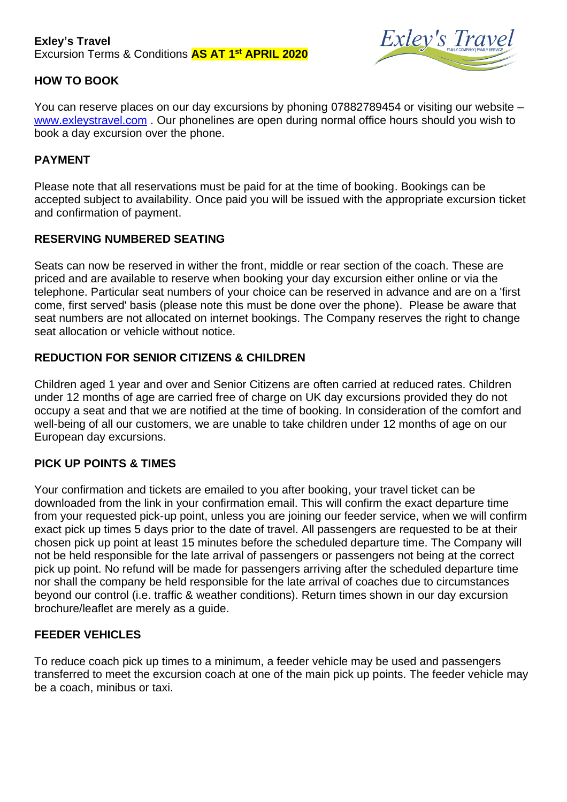#### **Exley's Travel** Excursion Terms & Conditions **AS AT 1 st APRIL 2020**



## **HOW TO BOOK**

You can reserve places on our day excursions by phoning 07882789454 or visiting our website – [www.exleystravel.com](http://www.exleystravel.com/) . Our phonelines are open during normal office hours should you wish to book a day excursion over the phone.

### **PAYMENT**

Please note that all reservations must be paid for at the time of booking. Bookings can be accepted subject to availability. Once paid you will be issued with the appropriate excursion ticket and confirmation of payment.

#### **RESERVING NUMBERED SEATING**

Seats can now be reserved in wither the front, middle or rear section of the coach. These are priced and are available to reserve when booking your day excursion either online or via the telephone. Particular seat numbers of your choice can be reserved in advance and are on a 'first come, first served' basis (please note this must be done over the phone). Please be aware that seat numbers are not allocated on internet bookings. The Company reserves the right to change seat allocation or vehicle without notice.

### **REDUCTION FOR SENIOR CITIZENS & CHILDREN**

Children aged 1 year and over and Senior Citizens are often carried at reduced rates. Children under 12 months of age are carried free of charge on UK day excursions provided they do not occupy a seat and that we are notified at the time of booking. In consideration of the comfort and well-being of all our customers, we are unable to take children under 12 months of age on our European day excursions.

### **PICK UP POINTS & TIMES**

Your confirmation and tickets are emailed to you after booking, your travel ticket can be downloaded from the link in your confirmation email. This will confirm the exact departure time from your requested pick-up point, unless you are joining our feeder service, when we will confirm exact pick up times 5 days prior to the date of travel. All passengers are requested to be at their chosen pick up point at least 15 minutes before the scheduled departure time. The Company will not be held responsible for the late arrival of passengers or passengers not being at the correct pick up point. No refund will be made for passengers arriving after the scheduled departure time nor shall the company be held responsible for the late arrival of coaches due to circumstances beyond our control (i.e. traffic & weather conditions). Return times shown in our day excursion brochure/leaflet are merely as a guide.

#### **FEEDER VEHICLES**

To reduce coach pick up times to a minimum, a feeder vehicle may be used and passengers transferred to meet the excursion coach at one of the main pick up points. The feeder vehicle may be a coach, minibus or taxi.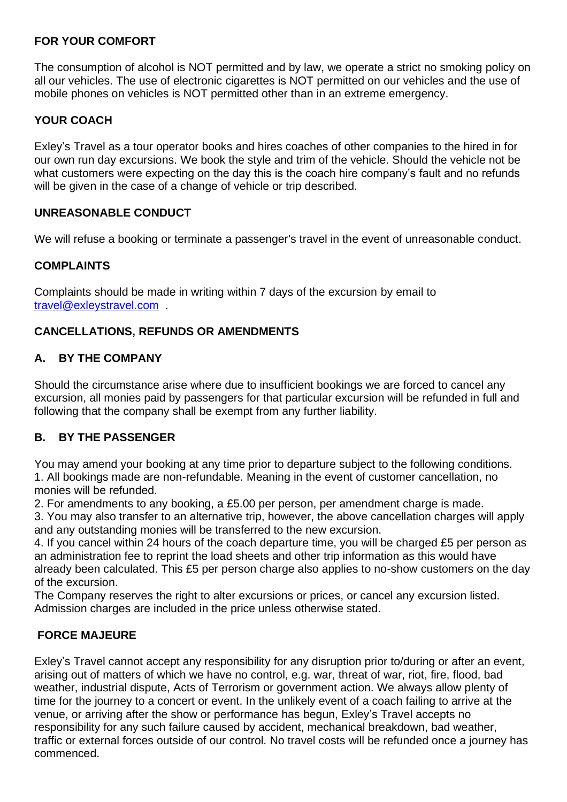#### **FOR YOUR COMFORT**

The consumption of alcohol is NOT permitted and by law, we operate a strict no smoking policy on all our vehicles. The use of electronic cigarettes is NOT permitted on our vehicles and the use of mobile phones on vehicles is NOT permitted other than in an extreme emergency.

## **YOUR COACH**

Exley's Travel as a tour operator books and hires coaches of other companies to the hired in for our own run day excursions. We book the style and trim of the vehicle. Should the vehicle not be what customers were expecting on the day this is the coach hire company's fault and no refunds will be given in the case of a change of vehicle or trip described.

### **UNREASONABLE CONDUCT**

We will refuse a booking or terminate a passenger's travel in the event of unreasonable conduct.

## **COMPLAINTS**

Complaints should be made in writing within 7 days of the excursion by email to [travel@exleystravel.com](mailto:travel@exleystravel.com) .

## **CANCELLATIONS, REFUNDS OR AMENDMENTS**

## **A. BY THE COMPANY**

Should the circumstance arise where due to insufficient bookings we are forced to cancel any excursion, all monies paid by passengers for that particular excursion will be refunded in full and following that the company shall be exempt from any further liability.

### **B. BY THE PASSENGER**

You may amend your booking at any time prior to departure subject to the following conditions. 1. All bookings made are non-refundable. Meaning in the event of customer cancellation, no monies will be refunded.

2. For amendments to any booking, a £5.00 per person, per amendment charge is made.

3. You may also transfer to an alternative trip, however, the above cancellation charges will apply and any outstanding monies will be transferred to the new excursion.

4. If you cancel within 24 hours of the coach departure time, you will be charged £5 per person as an administration fee to reprint the load sheets and other trip information as this would have already been calculated. This £5 per person charge also applies to no-show customers on the day of the excursion.

The Company reserves the right to alter excursions or prices, or cancel any excursion listed. Admission charges are included in the price unless otherwise stated.

### **FORCE MAJEURE**

Exley's Travel cannot accept any responsibility for any disruption prior to/during or after an event, arising out of matters of which we have no control, e.g. war, threat of war, riot, fire, flood, bad weather, industrial dispute, Acts of Terrorism or government action. We always allow plenty of time for the journey to a concert or event. In the unlikely event of a coach failing to arrive at the venue, or arriving after the show or performance has begun, Exley's Travel accepts no responsibility for any such failure caused by accident, mechanical breakdown, bad weather, traffic or external forces outside of our control. No travel costs will be refunded once a journey has commenced.